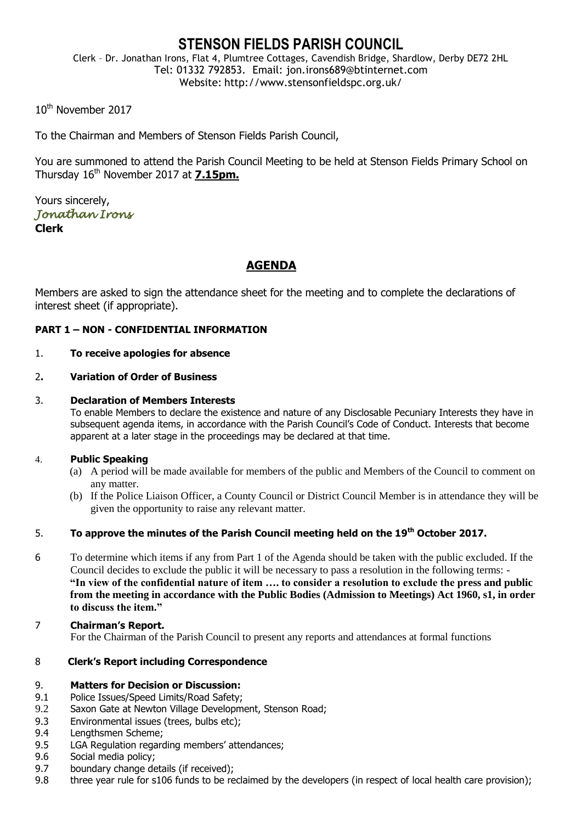## **STENSON FIELDS PARISH COUNCIL**

Clerk – Dr. Jonathan Irons, Flat 4, Plumtree Cottages, Cavendish Bridge, Shardlow, Derby DE72 2HL Tel: 01332 792853. Email: jon.irons689@btinternet.com Website: http://www.stensonfieldspc.org.uk/

10<sup>th</sup> November 2017

To the Chairman and Members of Stenson Fields Parish Council,

You are summoned to attend the Parish Council Meeting to be held at Stenson Fields Primary School on Thursday 16th November 2017 at **7.15pm.**

Yours sincerely, *Jonathan Irons*  **Clerk**

## **AGENDA**

Members are asked to sign the attendance sheet for the meeting and to complete the declarations of interest sheet (if appropriate).

#### **PART 1 – NON - CONFIDENTIAL INFORMATION**

#### 1. **To receive apologies for absence**

#### 2**. Variation of Order of Business**

#### 3. **Declaration of Members Interests**

To enable Members to declare the existence and nature of any Disclosable Pecuniary Interests they have in subsequent agenda items, in accordance with the Parish Council's Code of Conduct. Interests that become apparent at a later stage in the proceedings may be declared at that time.

#### 4. **Public Speaking**

- (a) A period will be made available for members of the public and Members of the Council to comment on any matter.
- (b) If the Police Liaison Officer, a County Council or District Council Member is in attendance they will be given the opportunity to raise any relevant matter.

### 5. **To approve the minutes of the Parish Council meeting held on the 19th October 2017.**

- 6 To determine which items if any from Part 1 of the Agenda should be taken with the public excluded. If the Council decides to exclude the public it will be necessary to pass a resolution in the following terms: - **"In view of the confidential nature of item …. to consider a resolution to exclude the press and public from the meeting in accordance with the Public Bodies (Admission to Meetings) Act 1960, s1, in order to discuss the item."**
- 7 **Chairman's Report.** For the Chairman of the Parish Council to present any reports and attendances at formal functions

#### 8 **Clerk's Report including Correspondence**

#### 9. **Matters for Decision or Discussion:**

- 9.1 Police Issues/Speed Limits/Road Safety;
- 9.2 Saxon Gate at Newton Village Development, Stenson Road;
- 9.3 Environmental issues (trees, bulbs etc);
- 9.4 Lengthsmen Scheme;
- 9.5 LGA Regulation regarding members' attendances;
- 9.6 Social media policy;
- 9.7 boundary change details (if received);
- 9.8 three year rule for s106 funds to be reclaimed by the developers (in respect of local health care provision);